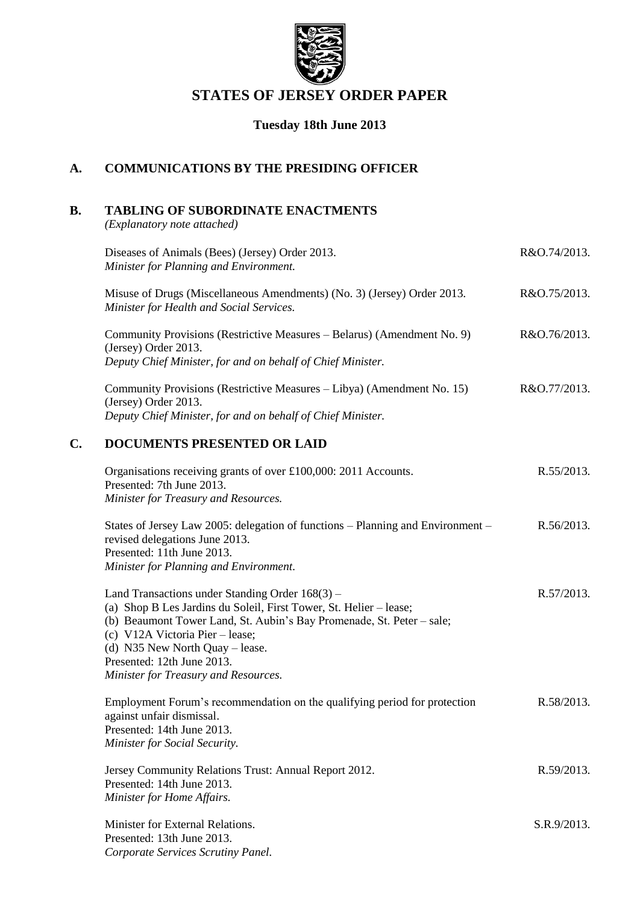

# **STATES OF JERSEY ORDER PAPER**

# **Tuesday 18th June 2013**

### **A. COMMUNICATIONS BY THE PRESIDING OFFICER**

# **B. TABLING OF SUBORDINATE ENACTMENTS**

*(Explanatory note attached)*

|    | Diseases of Animals (Bees) (Jersey) Order 2013.<br>Minister for Planning and Environment.                                                                                                                                                                                                                                                      | R&O.74/2013. |
|----|------------------------------------------------------------------------------------------------------------------------------------------------------------------------------------------------------------------------------------------------------------------------------------------------------------------------------------------------|--------------|
|    | Misuse of Drugs (Miscellaneous Amendments) (No. 3) (Jersey) Order 2013.<br>Minister for Health and Social Services.                                                                                                                                                                                                                            | R&O.75/2013. |
|    | Community Provisions (Restrictive Measures - Belarus) (Amendment No. 9)<br>(Jersey) Order 2013.<br>Deputy Chief Minister, for and on behalf of Chief Minister.                                                                                                                                                                                 | R&O.76/2013. |
|    | Community Provisions (Restrictive Measures – Libya) (Amendment No. 15)<br>(Jersey) Order 2013.<br>Deputy Chief Minister, for and on behalf of Chief Minister.                                                                                                                                                                                  | R&O.77/2013. |
| C. | <b>DOCUMENTS PRESENTED OR LAID</b>                                                                                                                                                                                                                                                                                                             |              |
|    | Organisations receiving grants of over £100,000: 2011 Accounts.<br>Presented: 7th June 2013.<br>Minister for Treasury and Resources.                                                                                                                                                                                                           | R.55/2013.   |
|    | States of Jersey Law 2005: delegation of functions - Planning and Environment -<br>revised delegations June 2013.<br>Presented: 11th June 2013.<br>Minister for Planning and Environment.                                                                                                                                                      | R.56/2013.   |
|    | Land Transactions under Standing Order $168(3)$ –<br>(a) Shop B Les Jardins du Soleil, First Tower, St. Helier - lease;<br>(b) Beaumont Tower Land, St. Aubin's Bay Promenade, St. Peter - sale;<br>(c) V12A Victoria Pier – lease;<br>(d) N35 New North Quay $-$ lease.<br>Presented: 12th June 2013.<br>Minister for Treasury and Resources. | R.57/2013.   |
|    | Employment Forum's recommendation on the qualifying period for protection<br>against unfair dismissal.<br>Presented: 14th June 2013.<br>Minister for Social Security.                                                                                                                                                                          | R.58/2013.   |
|    | Jersey Community Relations Trust: Annual Report 2012.<br>Presented: 14th June 2013.<br>Minister for Home Affairs.                                                                                                                                                                                                                              | R.59/2013.   |
|    | Minister for External Relations.<br>Presented: 13th June 2013.<br>Corporate Services Scrutiny Panel.                                                                                                                                                                                                                                           | S.R.9/2013.  |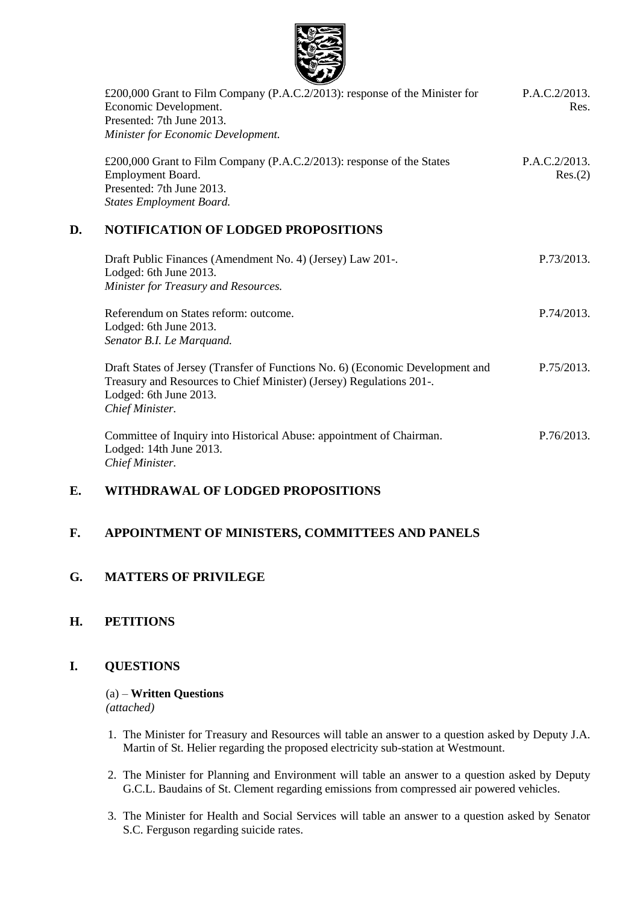

|    | £200,000 Grant to Film Company (P.A.C.2/2013): response of the Minister for<br>Economic Development.<br>Presented: 7th June 2013.<br>Minister for Economic Development. | P.A.C.2/2013.<br>Res.    |
|----|-------------------------------------------------------------------------------------------------------------------------------------------------------------------------|--------------------------|
|    | £200,000 Grant to Film Company (P.A.C.2/2013): response of the States<br>Employment Board.<br>Presented: 7th June 2013.<br><b>States Employment Board.</b>              | P.A.C.2/2013.<br>Res.(2) |
| D. | <b>NOTIFICATION OF LODGED PROPOSITIONS</b>                                                                                                                              |                          |
|    | Draft Public Finances (Amendment No. 4) (Jersey) Law 201-.<br>Lodged: 6th June 2013.<br>Minister for Treasury and Resources.                                            | P.73/2013.               |
|    | Referendum on States reform: outcome.<br>Lodged: 6th June 2013.<br>Senator B.I. Le Marquand.                                                                            | P.74/2013.               |

Draft States of Jersey (Transfer of Functions No. 6) (Economic Development and Treasury and Resources to Chief Minister) (Jersey) Regulations 201-. Lodged: 6th June 2013. *Chief Minister.* P.75/2013.

Committee of Inquiry into Historical Abuse: appointment of Chairman. Lodged: 14th June 2013. *Chief Minister.* P.76/2013.

## **E. WITHDRAWAL OF LODGED PROPOSITIONS**

### **F. APPOINTMENT OF MINISTERS, COMMITTEES AND PANELS**

### **G. MATTERS OF PRIVILEGE**

### **H. PETITIONS**

### **I. QUESTIONS**

#### (a) – **Written Questions** *(attached)*

- 1. The Minister for Treasury and Resources will table an answer to a question asked by Deputy J.A. Martin of St. Helier regarding the proposed electricity sub-station at Westmount.
- 2. The Minister for Planning and Environment will table an answer to a question asked by Deputy G.C.L. Baudains of St. Clement regarding emissions from compressed air powered vehicles.
- 3. The Minister for Health and Social Services will table an answer to a question asked by Senator S.C. Ferguson regarding suicide rates.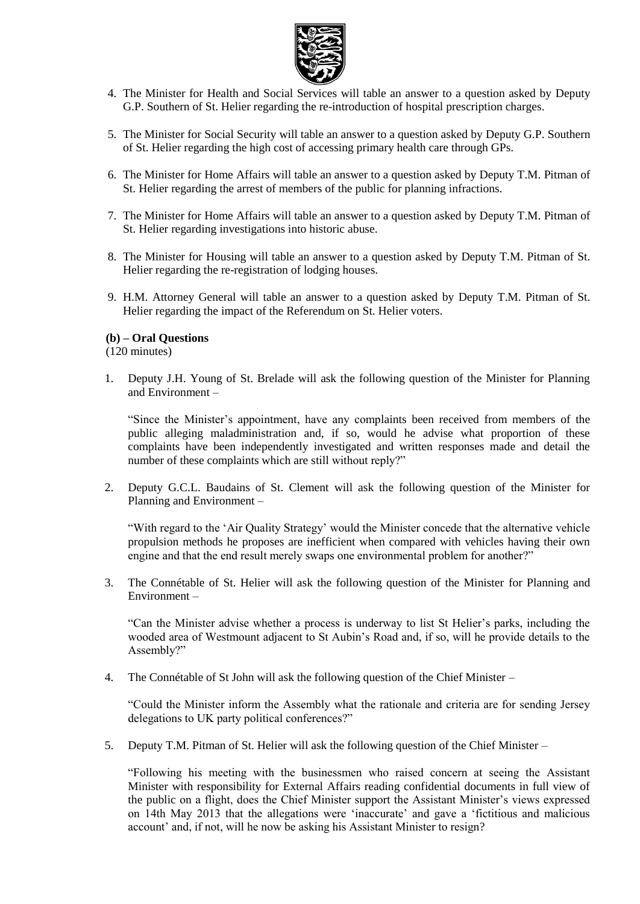

- 4. The Minister for Health and Social Services will table an answer to a question asked by Deputy G.P. Southern of St. Helier regarding the re-introduction of hospital prescription charges.
- 5. The Minister for Social Security will table an answer to a question asked by Deputy G.P. Southern of St. Helier regarding the high cost of accessing primary health care through GPs.
- 6. The Minister for Home Affairs will table an answer to a question asked by Deputy T.M. Pitman of St. Helier regarding the arrest of members of the public for planning infractions.
- 7. The Minister for Home Affairs will table an answer to a question asked by Deputy T.M. Pitman of St. Helier regarding investigations into historic abuse.
- 8. The Minister for Housing will table an answer to a question asked by Deputy T.M. Pitman of St. Helier regarding the re-registration of lodging houses.
- 9. H.M. Attorney General will table an answer to a question asked by Deputy T.M. Pitman of St. Helier regarding the impact of the Referendum on St. Helier voters.

### **(b) – Oral Questions**

(120 minutes)

1. Deputy J.H. Young of St. Brelade will ask the following question of the Minister for Planning and Environment –

"Since the Minister's appointment, have any complaints been received from members of the public alleging maladministration and, if so, would he advise what proportion of these complaints have been independently investigated and written responses made and detail the number of these complaints which are still without reply?"

2. Deputy G.C.L. Baudains of St. Clement will ask the following question of the Minister for Planning and Environment –

"With regard to the 'Air Quality Strategy' would the Minister concede that the alternative vehicle propulsion methods he proposes are inefficient when compared with vehicles having their own engine and that the end result merely swaps one environmental problem for another?"

3. The Connétable of St. Helier will ask the following question of the Minister for Planning and Environment –

"Can the Minister advise whether a process is underway to list St Helier's parks, including the wooded area of Westmount adjacent to St Aubin's Road and, if so, will he provide details to the Assembly?"

4. The Connétable of St John will ask the following question of the Chief Minister –

"Could the Minister inform the Assembly what the rationale and criteria are for sending Jersey delegations to UK party political conferences?"

5. Deputy T.M. Pitman of St. Helier will ask the following question of the Chief Minister –

"Following his meeting with the businessmen who raised concern at seeing the Assistant Minister with responsibility for External Affairs reading confidential documents in full view of the public on a flight, does the Chief Minister support the Assistant Minister's views expressed on 14th May 2013 that the allegations were 'inaccurate' and gave a 'fictitious and malicious account' and, if not, will he now be asking his Assistant Minister to resign?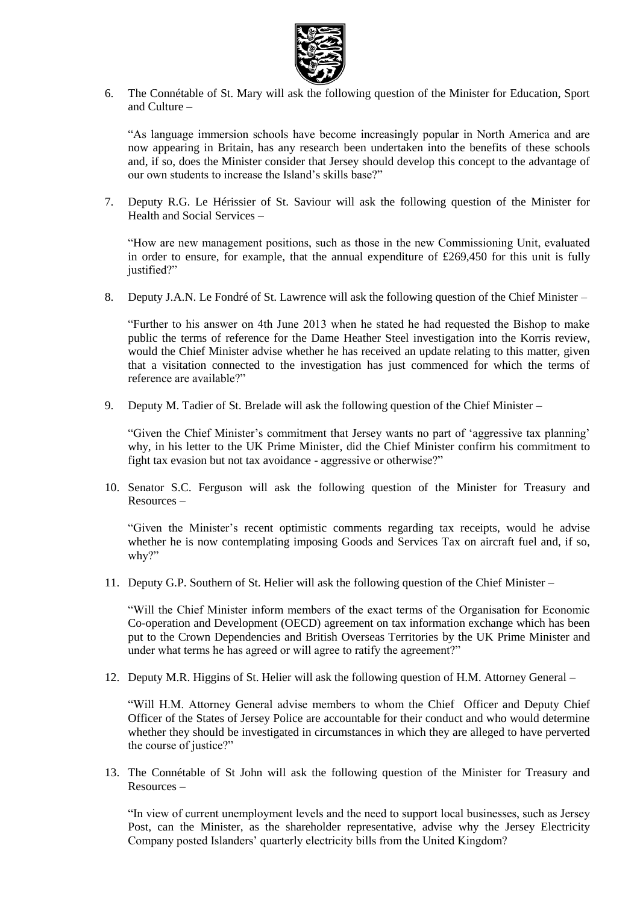

6. The Connétable of St. Mary will ask the following question of the Minister for Education, Sport and Culture –

"As language immersion schools have become increasingly popular in North America and are now appearing in Britain, has any research been undertaken into the benefits of these schools and, if so, does the Minister consider that Jersey should develop this concept to the advantage of our own students to increase the Island's skills base?"

7. Deputy R.G. Le Hérissier of St. Saviour will ask the following question of the Minister for Health and Social Services –

"How are new management positions, such as those in the new Commissioning Unit, evaluated in order to ensure, for example, that the annual expenditure of  $£269,450$  for this unit is fully justified?"

8. Deputy J.A.N. Le Fondré of St. Lawrence will ask the following question of the Chief Minister –

"Further to his answer on 4th June 2013 when he stated he had requested the Bishop to make public the terms of reference for the Dame Heather Steel investigation into the Korris review, would the Chief Minister advise whether he has received an update relating to this matter, given that a visitation connected to the investigation has just commenced for which the terms of reference are available?"

9. Deputy M. Tadier of St. Brelade will ask the following question of the Chief Minister –

"Given the Chief Minister's commitment that Jersey wants no part of 'aggressive tax planning' why, in his letter to the UK Prime Minister, did the Chief Minister confirm his commitment to fight tax evasion but not tax avoidance - aggressive or otherwise?"

10. Senator S.C. Ferguson will ask the following question of the Minister for Treasury and Resources –

"Given the Minister's recent optimistic comments regarding tax receipts, would he advise whether he is now contemplating imposing Goods and Services Tax on aircraft fuel and, if so, why?"

11. Deputy G.P. Southern of St. Helier will ask the following question of the Chief Minister –

"Will the Chief Minister inform members of the exact terms of the Organisation for Economic Co-operation and Development (OECD) agreement on tax information exchange which has been put to the Crown Dependencies and British Overseas Territories by the UK Prime Minister and under what terms he has agreed or will agree to ratify the agreement?"

12. Deputy M.R. Higgins of St. Helier will ask the following question of H.M. Attorney General –

"Will H.M. Attorney General advise members to whom the Chief Officer and Deputy Chief Officer of the States of Jersey Police are accountable for their conduct and who would determine whether they should be investigated in circumstances in which they are alleged to have perverted the course of justice?"

13. The Connétable of St John will ask the following question of the Minister for Treasury and Resources –

"In view of current unemployment levels and the need to support local businesses, such as Jersey Post, can the Minister, as the shareholder representative, advise why the Jersey Electricity Company posted Islanders' quarterly electricity bills from the United Kingdom?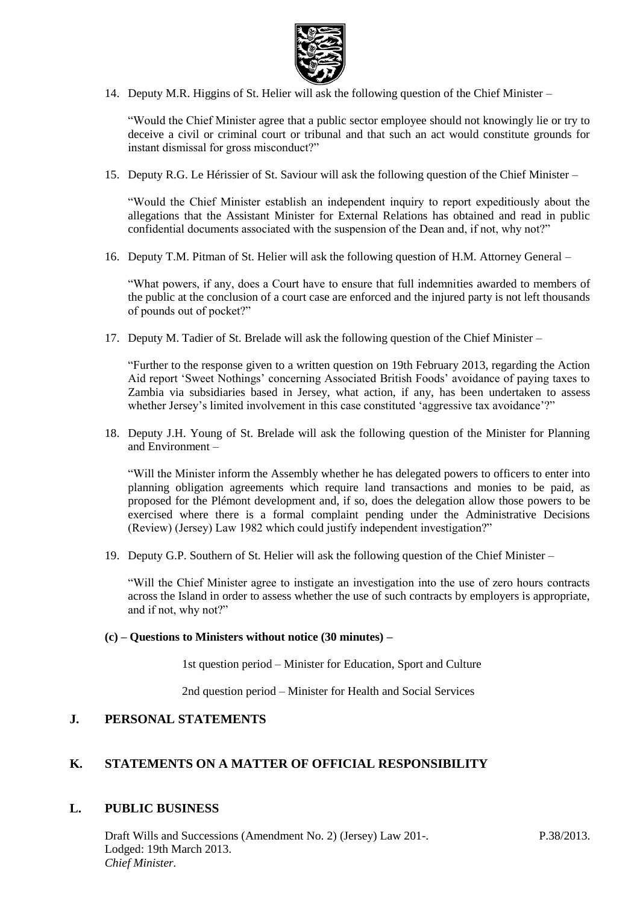

14. Deputy M.R. Higgins of St. Helier will ask the following question of the Chief Minister –

"Would the Chief Minister agree that a public sector employee should not knowingly lie or try to deceive a civil or criminal court or tribunal and that such an act would constitute grounds for instant dismissal for gross misconduct?"

15. Deputy R.G. Le Hérissier of St. Saviour will ask the following question of the Chief Minister –

"Would the Chief Minister establish an independent inquiry to report expeditiously about the allegations that the Assistant Minister for External Relations has obtained and read in public confidential documents associated with the suspension of the Dean and, if not, why not?"

16. Deputy T.M. Pitman of St. Helier will ask the following question of H.M. Attorney General –

"What powers, if any, does a Court have to ensure that full indemnities awarded to members of the public at the conclusion of a court case are enforced and the injured party is not left thousands of pounds out of pocket?"

17. Deputy M. Tadier of St. Brelade will ask the following question of the Chief Minister –

"Further to the response given to a written question on 19th February 2013, regarding the Action Aid report 'Sweet Nothings' concerning Associated British Foods' avoidance of paying taxes to Zambia via subsidiaries based in Jersey, what action, if any, has been undertaken to assess whether Jersey's limited involvement in this case constituted 'aggressive tax avoidance'?"

18. Deputy J.H. Young of St. Brelade will ask the following question of the Minister for Planning and Environment –

"Will the Minister inform the Assembly whether he has delegated powers to officers to enter into planning obligation agreements which require land transactions and monies to be paid, as proposed for the Plémont development and, if so, does the delegation allow those powers to be exercised where there is a formal complaint pending under the Administrative Decisions (Review) (Jersey) Law 1982 which could justify independent investigation?"

19. Deputy G.P. Southern of St. Helier will ask the following question of the Chief Minister –

"Will the Chief Minister agree to instigate an investigation into the use of zero hours contracts across the Island in order to assess whether the use of such contracts by employers is appropriate, and if not, why not?"

#### **(c) – Questions to Ministers without notice (30 minutes) –**

1st question period – Minister for Education, Sport and Culture

2nd question period – Minister for Health and Social Services

### **J. PERSONAL STATEMENTS**

### **K. STATEMENTS ON A MATTER OF OFFICIAL RESPONSIBILITY**

### **L. PUBLIC BUSINESS**

Draft Wills and Successions (Amendment No. 2) (Jersey) Law 201-. Lodged: 19th March 2013. *Chief Minister.*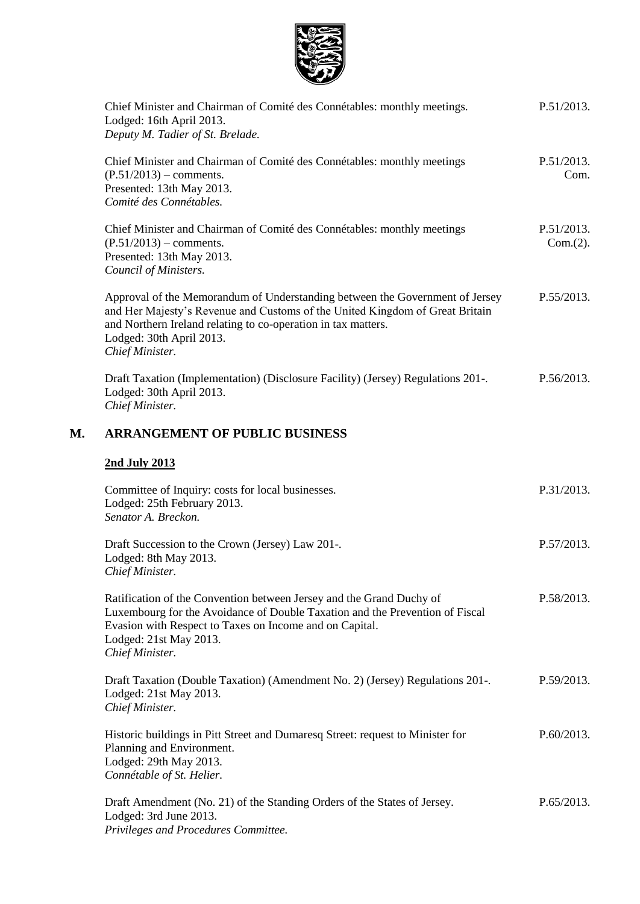

|    | Chief Minister and Chairman of Comité des Connétables: monthly meetings.<br>Lodged: 16th April 2013.<br>Deputy M. Tadier of St. Brelade.                                                                                                                                     | P.51/2013.             |
|----|------------------------------------------------------------------------------------------------------------------------------------------------------------------------------------------------------------------------------------------------------------------------------|------------------------|
|    | Chief Minister and Chairman of Comité des Connétables: monthly meetings<br>$(P.51/2013)$ – comments.<br>Presented: 13th May 2013.<br>Comité des Connétables.                                                                                                                 | P.51/2013.<br>Com.     |
|    | Chief Minister and Chairman of Comité des Connétables: monthly meetings<br>$(P.51/2013)$ – comments.<br>Presented: 13th May 2013.<br>Council of Ministers.                                                                                                                   | P.51/2013.<br>Com.(2). |
|    | Approval of the Memorandum of Understanding between the Government of Jersey<br>and Her Majesty's Revenue and Customs of the United Kingdom of Great Britain<br>and Northern Ireland relating to co-operation in tax matters.<br>Lodged: 30th April 2013.<br>Chief Minister. | P.55/2013.             |
|    | Draft Taxation (Implementation) (Disclosure Facility) (Jersey) Regulations 201-.<br>Lodged: 30th April 2013.<br>Chief Minister.                                                                                                                                              | P.56/2013.             |
| М. | <b>ARRANGEMENT OF PUBLIC BUSINESS</b>                                                                                                                                                                                                                                        |                        |
|    | 2nd July 2013                                                                                                                                                                                                                                                                |                        |
|    | Committee of Inquiry: costs for local businesses.<br>Lodged: 25th February 2013.<br>Senator A. Breckon.                                                                                                                                                                      | P.31/2013.             |
|    | Draft Succession to the Crown (Jersey) Law 201-.<br>Lodged: 8th May 2013.<br>Chief Minister.                                                                                                                                                                                 | P.57/2013.             |
|    | Ratification of the Convention between Jersey and the Grand Duchy of<br>Luxembourg for the Avoidance of Double Taxation and the Prevention of Fiscal<br>Evasion with Respect to Taxes on Income and on Capital.<br>Lodged: 21st May 2013.<br>Chief Minister.                 | P.58/2013.             |
|    | Draft Taxation (Double Taxation) (Amendment No. 2) (Jersey) Regulations 201-.<br>Lodged: 21st May 2013.<br>Chief Minister.                                                                                                                                                   | P.59/2013.             |
|    | Historic buildings in Pitt Street and Dumaresq Street: request to Minister for<br>Planning and Environment.<br>Lodged: 29th May 2013.<br>Connétable of St. Helier.                                                                                                           | P.60/2013.             |
|    | Draft Amendment (No. 21) of the Standing Orders of the States of Jersey.<br>Lodged: 3rd June 2013.<br>Privileges and Procedures Committee.                                                                                                                                   | P.65/2013.             |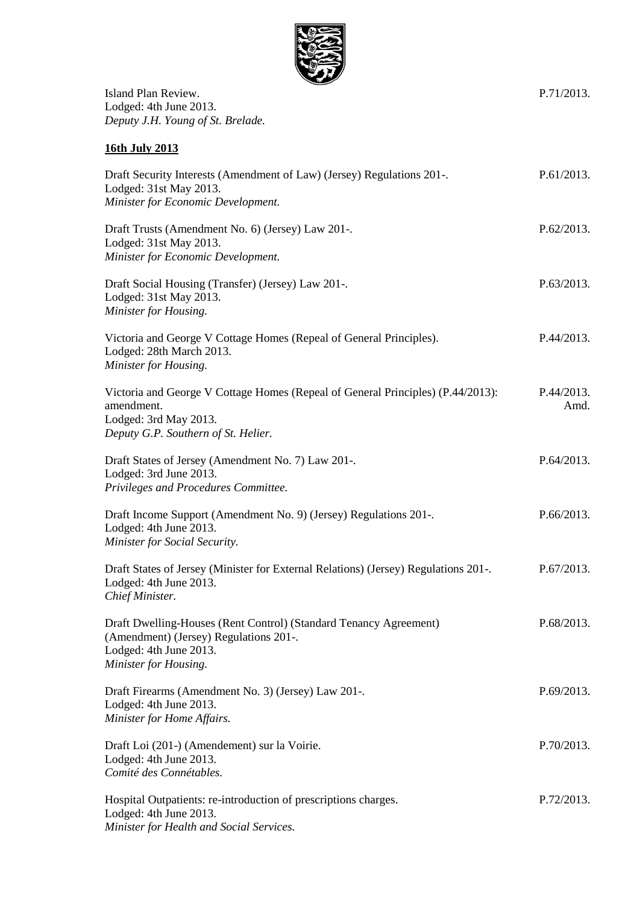

P.71/2013.

Island Plan Review. Lodged: 4th June 2013. *Deputy J.H. Young of St. Brelade.*

**16th July 2013**

| Draft Security Interests (Amendment of Law) (Jersey) Regulations 201-.<br>Lodged: 31st May 2013.<br>Minister for Economic Development.                         | P.61/2013.         |
|----------------------------------------------------------------------------------------------------------------------------------------------------------------|--------------------|
| Draft Trusts (Amendment No. 6) (Jersey) Law 201-.<br>Lodged: 31st May 2013.<br>Minister for Economic Development.                                              | P.62/2013.         |
| Draft Social Housing (Transfer) (Jersey) Law 201-.<br>Lodged: 31st May 2013.<br>Minister for Housing.                                                          | P.63/2013.         |
| Victoria and George V Cottage Homes (Repeal of General Principles).<br>Lodged: 28th March 2013.<br>Minister for Housing.                                       | P.44/2013.         |
| Victoria and George V Cottage Homes (Repeal of General Principles) (P.44/2013):<br>amendment.<br>Lodged: 3rd May 2013.<br>Deputy G.P. Southern of St. Helier.  | P.44/2013.<br>Amd. |
| Draft States of Jersey (Amendment No. 7) Law 201-.<br>Lodged: 3rd June 2013.<br>Privileges and Procedures Committee.                                           | P.64/2013.         |
| Draft Income Support (Amendment No. 9) (Jersey) Regulations 201-.<br>Lodged: 4th June 2013.<br>Minister for Social Security.                                   | P.66/2013.         |
| Draft States of Jersey (Minister for External Relations) (Jersey) Regulations 201-.<br>Lodged: 4th June 2013.<br>Chief Minister.                               | P.67/2013.         |
| Draft Dwelling-Houses (Rent Control) (Standard Tenancy Agreement)<br>(Amendment) (Jersey) Regulations 201-.<br>Lodged: 4th June 2013.<br>Minister for Housing. | P.68/2013.         |
| Draft Firearms (Amendment No. 3) (Jersey) Law 201-.<br>Lodged: 4th June 2013.<br>Minister for Home Affairs.                                                    | P.69/2013.         |
| Draft Loi (201-) (Amendement) sur la Voirie.<br>Lodged: 4th June 2013.<br>Comité des Connétables.                                                              | P.70/2013.         |
| Hospital Outpatients: re-introduction of prescriptions charges.<br>Lodged: 4th June 2013.<br>Minister for Health and Social Services.                          | P.72/2013.         |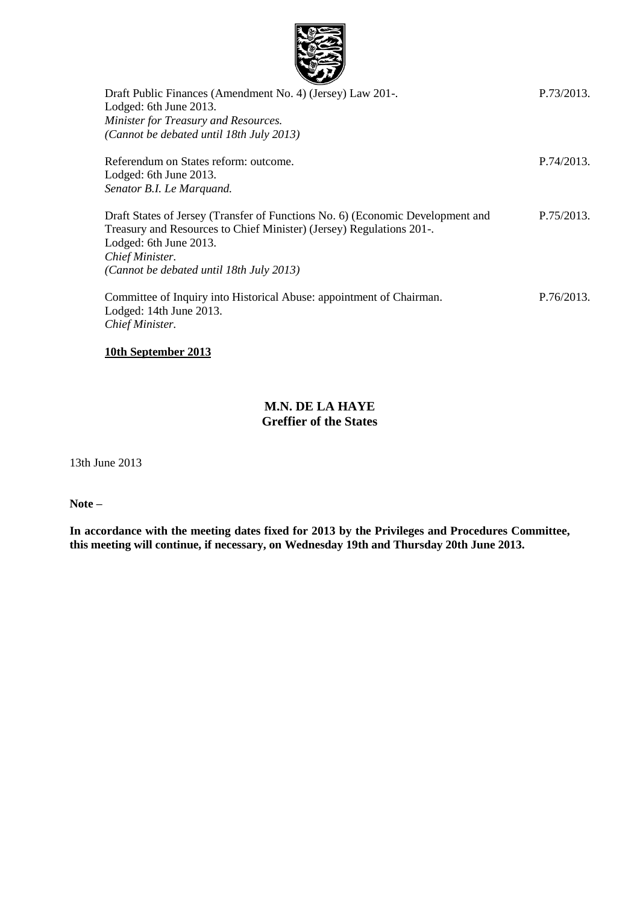

| Draft Public Finances (Amendment No. 4) (Jersey) Law 201-.                     | P.73/2013. |
|--------------------------------------------------------------------------------|------------|
| Lodged: 6th June 2013.                                                         |            |
| Minister for Treasury and Resources.                                           |            |
| (Cannot be debated until 18th July 2013)                                       |            |
| Referendum on States reform: outcome.                                          | P.74/2013. |
| Lodged: 6th June 2013.                                                         |            |
| Senator B.I. Le Marquand.                                                      |            |
| Draft States of Jersey (Transfer of Functions No. 6) (Economic Development and | P.75/2013. |
| Treasury and Resources to Chief Minister) (Jersey) Regulations 201-.           |            |
| Lodged: 6th June 2013.                                                         |            |
| Chief Minister.                                                                |            |
| (Cannot be debated until 18th July 2013)                                       |            |
| Committee of Inquiry into Historical Abuse: appointment of Chairman.           | P.76/2013. |
| Lodged: 14th June 2013.                                                        |            |
| Chief Minister.                                                                |            |
|                                                                                |            |

### **10th September 2013**

### **M.N. DE LA HAYE Greffier of the States**

13th June 2013

**Note –**

**In accordance with the meeting dates fixed for 2013 by the Privileges and Procedures Committee, this meeting will continue, if necessary, on Wednesday 19th and Thursday 20th June 2013.**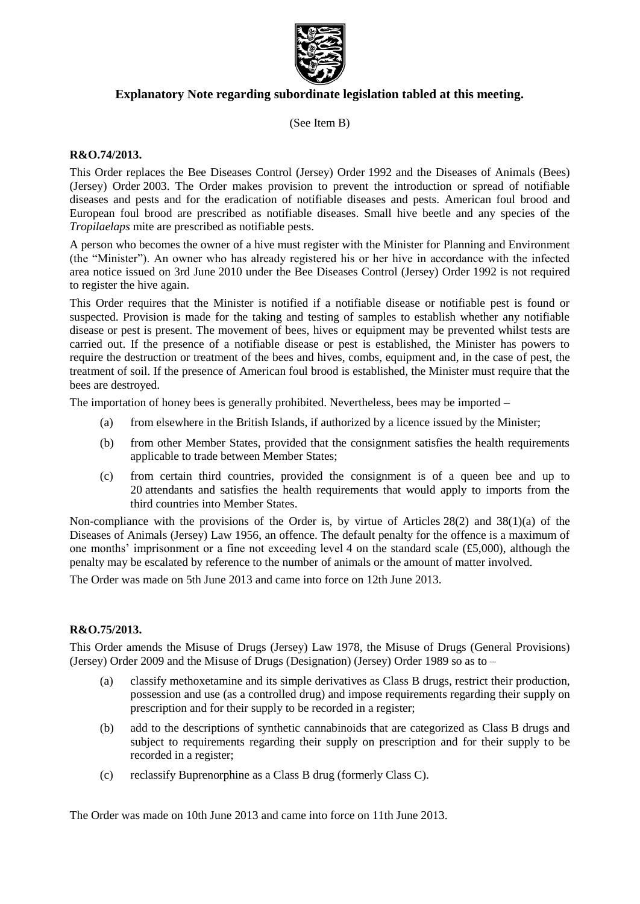

### **Explanatory Note regarding subordinate legislation tabled at this meeting.**

(See Item B)

#### **R&O.74/2013.**

This Order replaces the Bee Diseases Control (Jersey) Order 1992 and the Diseases of Animals (Bees) (Jersey) Order 2003. The Order makes provision to prevent the introduction or spread of notifiable diseases and pests and for the eradication of notifiable diseases and pests. American foul brood and European foul brood are prescribed as notifiable diseases. Small hive beetle and any species of the *Tropilaelaps* mite are prescribed as notifiable pests.

A person who becomes the owner of a hive must register with the Minister for Planning and Environment (the "Minister"). An owner who has already registered his or her hive in accordance with the infected area notice issued on 3rd June 2010 under the Bee Diseases Control (Jersey) Order 1992 is not required to register the hive again.

This Order requires that the Minister is notified if a notifiable disease or notifiable pest is found or suspected. Provision is made for the taking and testing of samples to establish whether any notifiable disease or pest is present. The movement of bees, hives or equipment may be prevented whilst tests are carried out. If the presence of a notifiable disease or pest is established, the Minister has powers to require the destruction or treatment of the bees and hives, combs, equipment and, in the case of pest, the treatment of soil. If the presence of American foul brood is established, the Minister must require that the bees are destroyed.

The importation of honey bees is generally prohibited. Nevertheless, bees may be imported –

- (a) from elsewhere in the British Islands, if authorized by a licence issued by the Minister;
- (b) from other Member States, provided that the consignment satisfies the health requirements applicable to trade between Member States;
- (c) from certain third countries, provided the consignment is of a queen bee and up to 20 attendants and satisfies the health requirements that would apply to imports from the third countries into Member States.

Non-compliance with the provisions of the Order is, by virtue of Articles 28(2) and 38(1)(a) of the Diseases of Animals (Jersey) Law 1956, an offence. The default penalty for the offence is a maximum of one months' imprisonment or a fine not exceeding level 4 on the standard scale (£5,000), although the penalty may be escalated by reference to the number of animals or the amount of matter involved.

The Order was made on 5th June 2013 and came into force on 12th June 2013.

#### **R&O.75/2013.**

This Order amends the Misuse of Drugs (Jersey) Law 1978, the Misuse of Drugs (General Provisions) (Jersey) Order 2009 and the Misuse of Drugs (Designation) (Jersey) Order 1989 so as to –

- (a) classify methoxetamine and its simple derivatives as Class B drugs, restrict their production, possession and use (as a controlled drug) and impose requirements regarding their supply on prescription and for their supply to be recorded in a register;
- (b) add to the descriptions of synthetic cannabinoids that are categorized as Class B drugs and subject to requirements regarding their supply on prescription and for their supply to be recorded in a register;
- (c) reclassify Buprenorphine as a Class B drug (formerly Class C).

The Order was made on 10th June 2013 and came into force on 11th June 2013.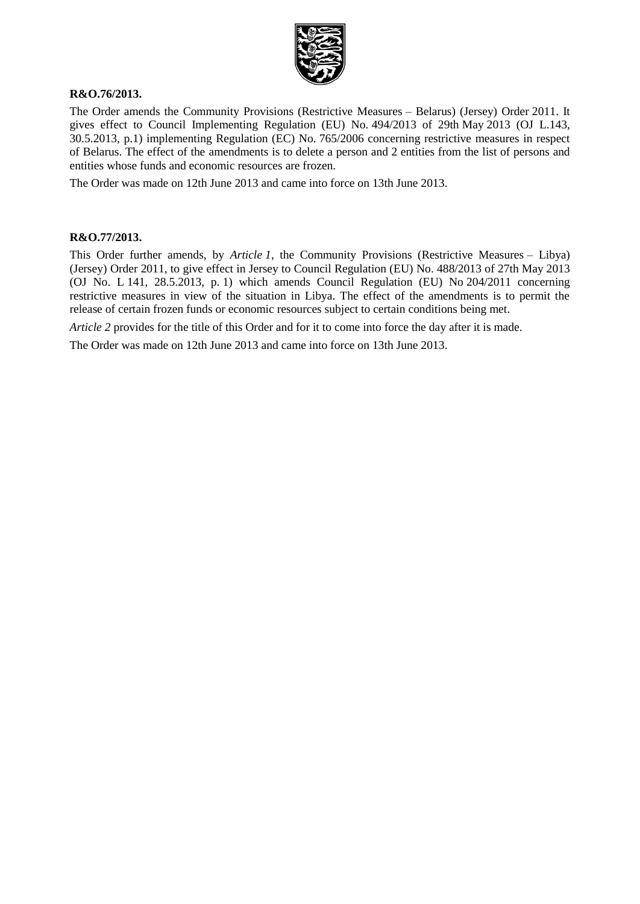

#### **R&O.76/2013.**

The Order amends the Community Provisions (Restrictive Measures – Belarus) (Jersey) Order 2011. It gives effect to Council Implementing Regulation (EU) No. 494/2013 of 29th May 2013 (OJ L.143, 30.5.2013, p.1) implementing Regulation (EC) No. 765/2006 concerning restrictive measures in respect of Belarus. The effect of the amendments is to delete a person and 2 entities from the list of persons and entities whose funds and economic resources are frozen.

The Order was made on 12th June 2013 and came into force on 13th June 2013.

#### **R&O.77/2013.**

This Order further amends, by *Article 1*, the Community Provisions (Restrictive Measures – Libya) (Jersey) Order 2011, to give effect in Jersey to Council Regulation (EU) No. 488/2013 of 27th May 2013 (OJ No. L 141, 28.5.2013, p. 1) which amends Council Regulation (EU) No 204/2011 concerning restrictive measures in view of the situation in Libya. The effect of the amendments is to permit the release of certain frozen funds or economic resources subject to certain conditions being met.

*Article* 2 provides for the title of this Order and for it to come into force the day after it is made.

The Order was made on 12th June 2013 and came into force on 13th June 2013.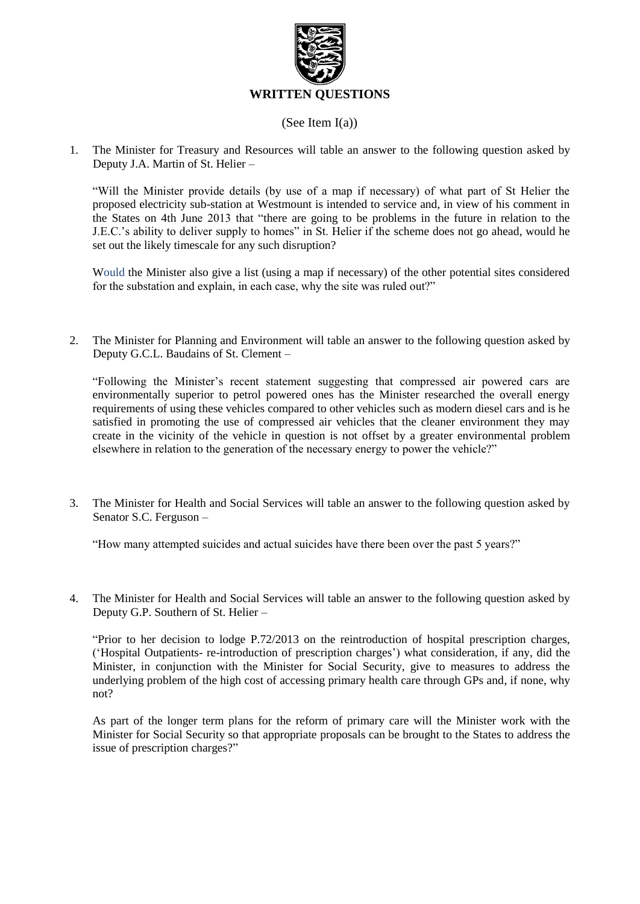

#### (See Item I(a))

1. The Minister for Treasury and Resources will table an answer to the following question asked by Deputy J.A. Martin of St. Helier –

"Will the Minister provide details (by use of a map if necessary) of what part of St Helier the proposed electricity sub-station at Westmount is intended to service and, in view of his comment in the States on 4th June 2013 that "there are going to be problems in the future in relation to the J.E.C.'s ability to deliver supply to homes" in St. Helier if the scheme does not go ahead, would he set out the likely timescale for any such disruption?

Would the Minister also give a list (using a map if necessary) of the other potential sites considered for the substation and explain, in each case, why the site was ruled out?"

2. The Minister for Planning and Environment will table an answer to the following question asked by Deputy G.C.L. Baudains of St. Clement –

"Following the Minister's recent statement suggesting that compressed air powered cars are environmentally superior to petrol powered ones has the Minister researched the overall energy requirements of using these vehicles compared to other vehicles such as modern diesel cars and is he satisfied in promoting the use of compressed air vehicles that the cleaner environment they may create in the vicinity of the vehicle in question is not offset by a greater environmental problem elsewhere in relation to the generation of the necessary energy to power the vehicle?"

3. The Minister for Health and Social Services will table an answer to the following question asked by Senator S.C. Ferguson –

"How many attempted suicides and actual suicides have there been over the past 5 years?"

4. The Minister for Health and Social Services will table an answer to the following question asked by Deputy G.P. Southern of St. Helier –

"Prior to her decision to lodge P.72/2013 on the reintroduction of hospital prescription charges, ('Hospital Outpatients- re-introduction of prescription charges') what consideration, if any, did the Minister, in conjunction with the Minister for Social Security, give to measures to address the underlying problem of the high cost of accessing primary health care through GPs and, if none, why not?

As part of the longer term plans for the reform of primary care will the Minister work with the Minister for Social Security so that appropriate proposals can be brought to the States to address the issue of prescription charges?"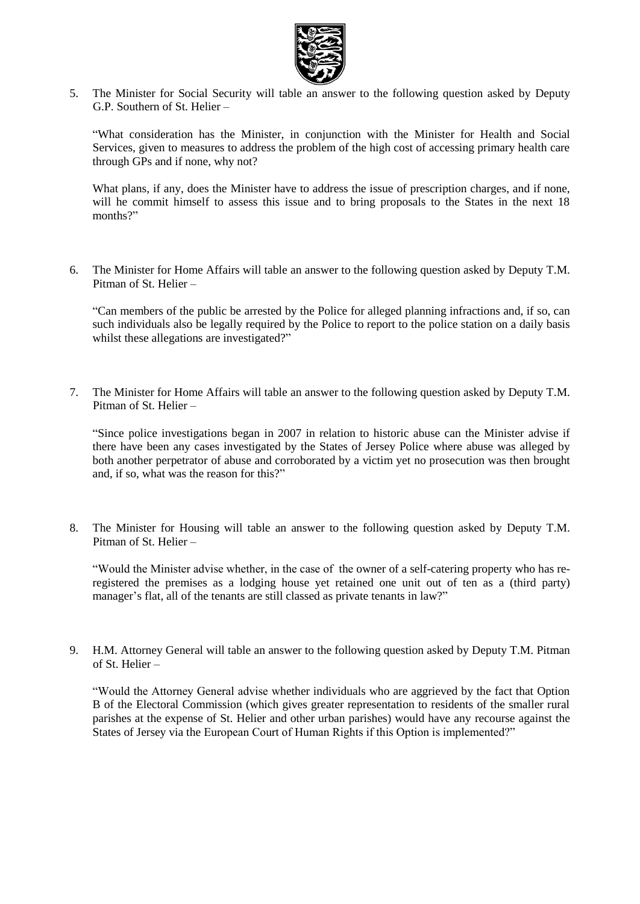

5. The Minister for Social Security will table an answer to the following question asked by Deputy G.P. Southern of St. Helier –

"What consideration has the Minister, in conjunction with the Minister for Health and Social Services, given to measures to address the problem of the high cost of accessing primary health care through GPs and if none, why not?

What plans, if any, does the Minister have to address the issue of prescription charges, and if none, will he commit himself to assess this issue and to bring proposals to the States in the next 18 months?"

6. The Minister for Home Affairs will table an answer to the following question asked by Deputy T.M. Pitman of St. Helier –

"Can members of the public be arrested by the Police for alleged planning infractions and, if so, can such individuals also be legally required by the Police to report to the police station on a daily basis whilst these allegations are investigated?"

7. The Minister for Home Affairs will table an answer to the following question asked by Deputy T.M. Pitman of St. Helier –

"Since police investigations began in 2007 in relation to historic abuse can the Minister advise if there have been any cases investigated by the States of Jersey Police where abuse was alleged by both another perpetrator of abuse and corroborated by a victim yet no prosecution was then brought and, if so, what was the reason for this?"

8. The Minister for Housing will table an answer to the following question asked by Deputy T.M. Pitman of St. Helier –

"Would the Minister advise whether, in the case of the owner of a self-catering property who has reregistered the premises as a lodging house yet retained one unit out of ten as a (third party) manager's flat, all of the tenants are still classed as private tenants in law?"

9. H.M. Attorney General will table an answer to the following question asked by Deputy T.M. Pitman of St. Helier –

"Would the Attorney General advise whether individuals who are aggrieved by the fact that Option B of the Electoral Commission (which gives greater representation to residents of the smaller rural parishes at the expense of St. Helier and other urban parishes) would have any recourse against the States of Jersey via the European Court of Human Rights if this Option is implemented?"